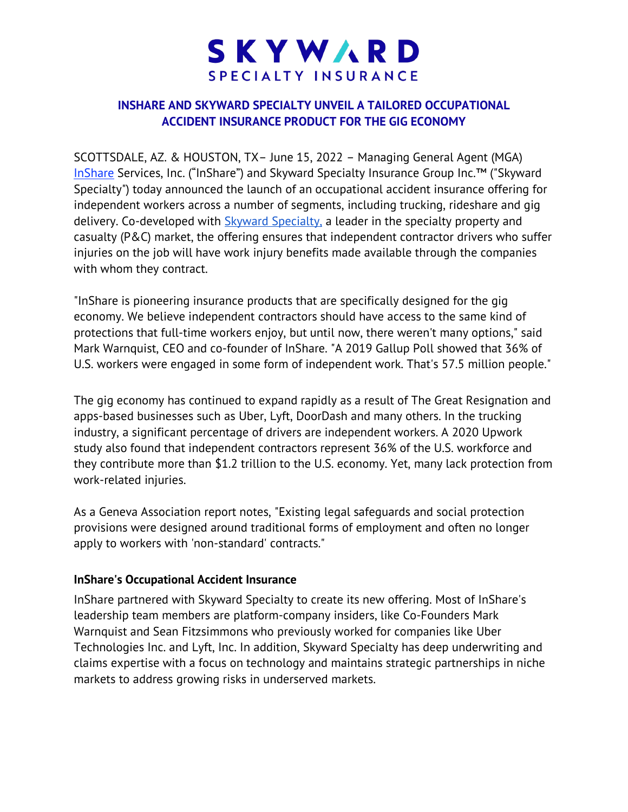# SKYWARD SPECIALTY INSURANCE

## **INSHARE AND SKYWARD SPECIALTY UNVEIL A TAILORED OCCUPATIONAL ACCIDENT INSURANCE PRODUCT FOR THE GIG ECONOMY**

SCOTTSDALE, AZ. & HOUSTON, TX– June 15, 2022 – Managing General Agent (MGA) [InShare](http://www.inshare.com/) Services, Inc. ("InShare") and Skyward Specialty Insurance Group Inc.™ ("Skyward Specialty") today announced the launch of an occupational accident insurance offering for independent workers across a number of segments, including trucking, rideshare and gig delivery. Co-developed with [Skyward Specialty,](https://www.skywardinsurance.com/) a leader in the specialty property and casualty (P&C) market, the offering ensures that independent contractor drivers who suffer injuries on the job will have work injury benefits made available through the companies with whom they contract.

"InShare is pioneering insurance products that are specifically designed for the gig economy. We believe independent contractors should have access to the same kind of protections that full-time workers enjoy, but until now, there weren't many options," said Mark Warnquist, CEO and co-founder of InShare. "A 2019 Gallup Poll showed that 36% of U.S. workers were engaged in some form of independent work. That's 57.5 million people."

The gig economy has continued to expand rapidly as a result of The Great Resignation and apps-based businesses such as Uber, Lyft, DoorDash and many others. In the trucking industry, a significant percentage of drivers are independent workers. [A 2020 Upwork](https://www.upwork.com/press/releases/new-upwork-study-finds-36-of-the-us-workforce-freelance-amid-the-covid-19-pandemic)  [study](https://www.upwork.com/press/releases/new-upwork-study-finds-36-of-the-us-workforce-freelance-amid-the-covid-19-pandemic) also found that independent contractors represent 36% of the U.S. workforce and they contribute more than \$1.2 trillion to the U.S. economy. Yet, many lack protection from work-related injuries.

As a [Geneva Association report](https://www.genevaassociation.org/research-topics/socio-economic-resilience/gig-economy-work-mind-protection-gaps-research-report) notes, "Existing legal safeguards and social protection provisions were designed around traditional forms of employment and often no longer apply to workers with 'non-standard' contracts."

## **InShare's Occupational Accident Insurance**

InShare partnered with Skyward Specialty to create its new offering. Most of InShare's leadership team members are platform-company insiders, like Co-Founders Mark Warnquist and Sean Fitzsimmons who previously worked for companies like Uber Technologies Inc. and Lyft, Inc. In addition, Skyward Specialty has deep underwriting and claims expertise with a focus on technology and maintains strategic partnerships in niche markets to address growing risks in underserved markets.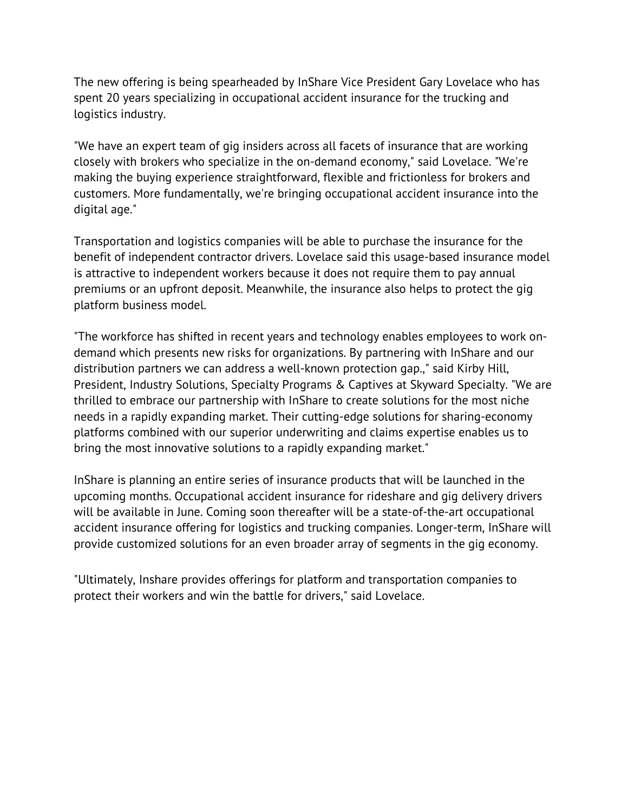The new offering is being spearheaded by InShare Vice President Gary Lovelace who has spent 20 years specializing in occupational accident insurance for the trucking and logistics industry.

"We have an expert team of gig insiders across all facets of insurance that are working closely with brokers who specialize in the on-demand economy," said Lovelace. "We're making the buying experience straightforward, flexible and frictionless for brokers and customers. More fundamentally, we're bringing occupational accident insurance into the digital age."

Transportation and logistics companies will be able to purchase the insurance for the benefit of independent contractor drivers. Lovelace said this usage-based insurance model is attractive to independent workers because it does not require them to pay annual premiums or an upfront deposit. Meanwhile, the insurance also helps to protect the gig platform business model.

"The workforce has shifted in recent years and technology enables employees to work ondemand which presents new risks for organizations. By partnering with InShare and our distribution partners we can address a well-known protection gap.," said Kirby Hill, President, Industry Solutions, Specialty Programs & Captives at Skyward Specialty. "We are thrilled to embrace our partnership with InShare to create solutions for the most niche needs in a rapidly expanding market. Their cutting-edge solutions for sharing-economy platforms combined with our superior underwriting and claims expertise enables us to bring the most innovative solutions to a rapidly expanding market."

InShare is planning an entire series of insurance products that will be launched in the upcoming months. Occupational accident insurance for rideshare and gig delivery drivers will be available in June. Coming soon thereafter will be a state-of-the-art occupational accident insurance offering for logistics and trucking companies. Longer-term, InShare will provide customized solutions for an even broader array of segments in the gig economy.

"Ultimately, Inshare provides offerings for platform and transportation companies to protect their workers and win the battle for drivers," said Lovelace.